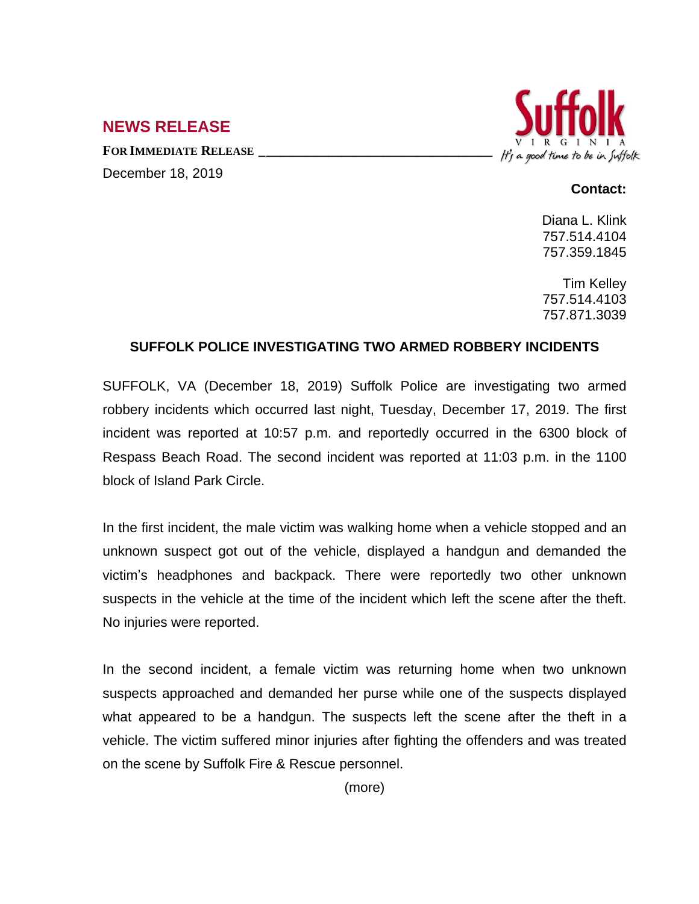## **NEWS RELEASE**

**FOR IMMEDIATE RELEASE \_\_\_\_\_\_\_\_\_\_\_\_\_\_\_\_\_\_\_\_\_\_\_\_\_\_\_\_\_\_\_\_\_\_**





## **Contact:**

Diana L. Klink 757.514.4104 757.359.1845

Tim Kelley 757.514.4103 757.871.3039

## **SUFFOLK POLICE INVESTIGATING TWO ARMED ROBBERY INCIDENTS**

SUFFOLK, VA (December 18, 2019) Suffolk Police are investigating two armed robbery incidents which occurred last night, Tuesday, December 17, 2019. The first incident was reported at 10:57 p.m. and reportedly occurred in the 6300 block of Respass Beach Road. The second incident was reported at 11:03 p.m. in the 1100 block of Island Park Circle.

In the first incident, the male victim was walking home when a vehicle stopped and an unknown suspect got out of the vehicle, displayed a handgun and demanded the victim's headphones and backpack. There were reportedly two other unknown suspects in the vehicle at the time of the incident which left the scene after the theft. No injuries were reported.

In the second incident, a female victim was returning home when two unknown suspects approached and demanded her purse while one of the suspects displayed what appeared to be a handgun. The suspects left the scene after the theft in a vehicle. The victim suffered minor injuries after fighting the offenders and was treated on the scene by Suffolk Fire & Rescue personnel.

(more)